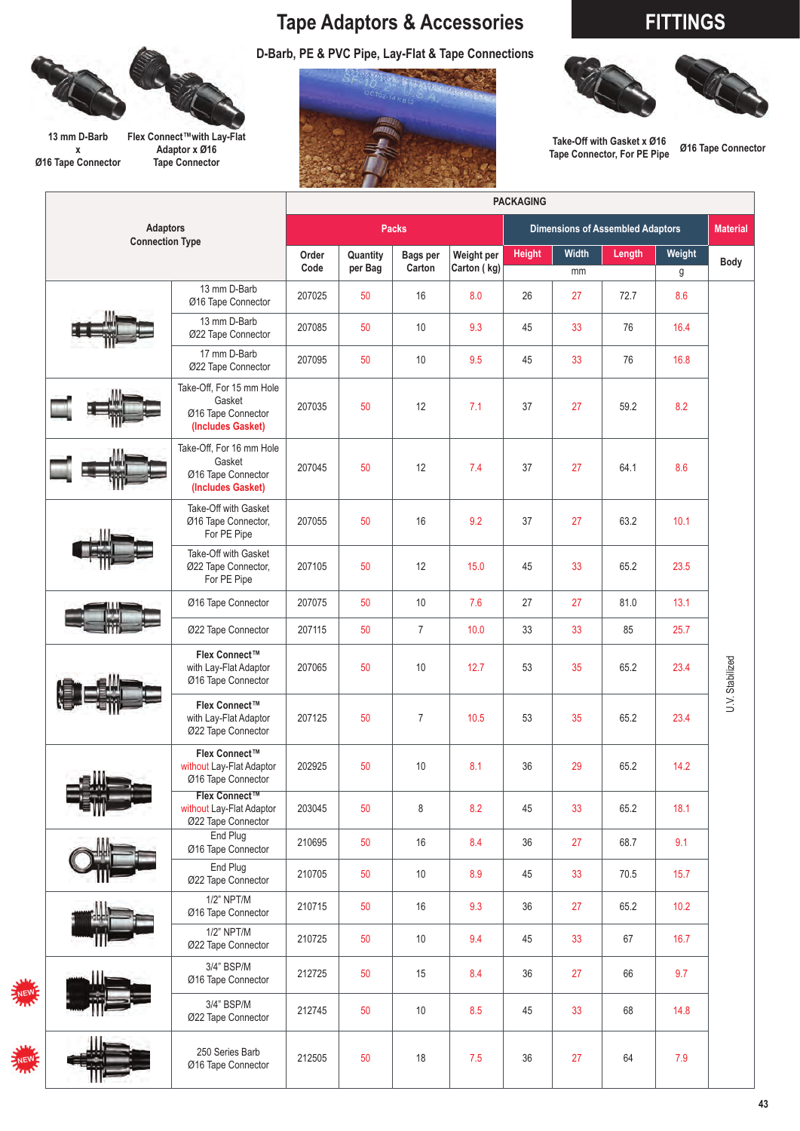# **Tape Adaptors & Accessories FITTINGS**



**13 mm D-Barb x Ø16 Tape Connector**

**Flex Connect™with Lay-Flat Adaptor x Ø16 Tape Connector**





**Take-Off with Gasket x Ø16 Tape Connector, For PE Pipe Ø16 Tape Connector**

|                                           | <b>PACKAGING</b>                                                              |                     |                           |                           |               |                                         |                 |             |             |                 |  |
|-------------------------------------------|-------------------------------------------------------------------------------|---------------------|---------------------------|---------------------------|---------------|-----------------------------------------|-----------------|-------------|-------------|-----------------|--|
| <b>Adaptors</b><br><b>Connection Type</b> |                                                                               |                     |                           | <b>Packs</b>              |               | <b>Dimensions of Assembled Adaptors</b> | <b>Material</b> |             |             |                 |  |
|                                           | Order<br>Code                                                                 | Quantity<br>per Bag | <b>Bags per</b><br>Carton | Weight per<br>Carton (kg) | <b>Height</b> | Width<br>mm                             | Length          | Weight<br>g | <b>Body</b> |                 |  |
|                                           | 13 mm D-Barb<br>Ø16 Tape Connector                                            | 207025              | 50                        | 16                        | 8.0           | 26                                      | 27              | 72.7        | 8.6         |                 |  |
|                                           | 13 mm D-Barb<br>Ø22 Tape Connector                                            | 207085              | 50                        | 10                        | 9.3           | 45                                      | 33              | 76          | 16.4        |                 |  |
|                                           | 17 mm D-Barb<br>Ø22 Tape Connector                                            | 207095              | 50                        | 10                        | 9.5           | 45                                      | 33              | 76          | 16.8        |                 |  |
|                                           | Take-Off, For 15 mm Hole<br>Gasket<br>Ø16 Tape Connector<br>(Includes Gasket) | 207035              | 50                        | 12                        | 7.1           | 37                                      | 27              | 59.2        | 8.2         |                 |  |
|                                           | Take-Off, For 16 mm Hole<br>Gasket<br>Ø16 Tape Connector<br>(Includes Gasket) | 207045              | 50                        | 12                        | 7.4           | 37                                      | 27              | 64.1        | 8.6         |                 |  |
|                                           | Take-Off with Gasket<br>Ø16 Tape Connector,<br>For PE Pipe                    | 207055              | 50                        | 16                        | 9.2           | 37                                      | 27              | 63.2        | 10.1        |                 |  |
|                                           | Take-Off with Gasket<br>Ø22 Tape Connector,<br>For PE Pipe                    | 207105              | 50                        | 12                        | 15.0          | 45                                      | 33              | 65.2        | 23.5        |                 |  |
|                                           | Ø16 Tape Connector                                                            | 207075              | 50                        | 10                        | 7.6           | 27                                      | 27              | 81.0        | 13.1        |                 |  |
|                                           | Ø22 Tape Connector                                                            | 207115              | 50                        | $\overline{7}$            | 10.0          | 33                                      | 33              | 85          | 25.7        |                 |  |
|                                           | Flex Connect™<br>with Lay-Flat Adaptor<br>Ø16 Tape Connector                  | 207065              | 50                        | 10                        | 12.7          | 53                                      | 35              | 65.2        | 23.4        | U.V. Stabilized |  |
|                                           | Flex Connect™<br>with Lay-Flat Adaptor<br>Ø22 Tape Connector                  | 207125              | 50                        | $\overline{7}$            | 10.5          | 53                                      | 35              | 65.2        | 23.4        |                 |  |
|                                           | Flex Connect™<br>without Lay-Flat Adaptor<br>Ø16 Tape Connector               | 202925              | 50                        | 10                        | 8.1           | 36                                      | 29              | 65.2        | 14.2        |                 |  |
|                                           | Flex Connect™<br>without Lay-Flat Adaptor<br>Ø22 Tape Connector               | 203045              | 50                        | 8                         | 8.2           | 45                                      | 33              | 65.2        | 18.1        |                 |  |
|                                           | End Plug<br>Ø16 Tape Connector                                                | 210695              | 50                        | 16                        | 8.4           | 36                                      | 27              | 68.7        | 9.1         |                 |  |
|                                           | End Plug<br>Ø22 Tape Connector                                                | 210705              | 50                        | $10$                      | 8.9           | 45                                      | 33              | 70.5        | 15.7        |                 |  |
|                                           | 1/2" NPT/M<br>Ø16 Tape Connector                                              | 210715              | 50                        | 16                        | 9.3           | 36                                      | 27              | 65.2        | $10.2$      |                 |  |
|                                           | 1/2" NPT/M<br>Ø22 Tape Connector                                              | 210725              | 50                        | $10$                      | 9.4           | 45                                      | 33              | 67          | 16.7        |                 |  |
| É                                         | 3/4" BSP/M<br>Ø16 Tape Connector                                              | 212725              | 50                        | 15                        | 8.4           | 36                                      | 27              | 66          | 9.7         |                 |  |
|                                           | 3/4" BSP/M<br>Ø22 Tape Connector                                              | 212745              | 50                        | 10                        | 8.5           | 45                                      | 33              | 68          | 14.8        |                 |  |
| É                                         | 250 Series Barb<br>Ø16 Tape Connector                                         | 212505              | 50                        | 18                        | 7.5           | 36                                      | 27              | 64          | 7.9         |                 |  |

**43**